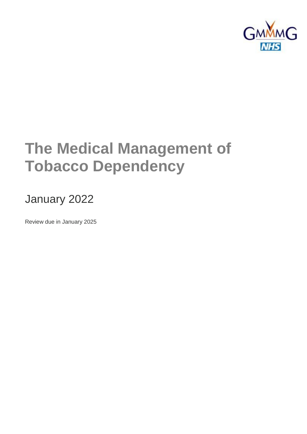

# **The Medical Management of Tobacco Dependency**

# January 2022

Review due in January 2025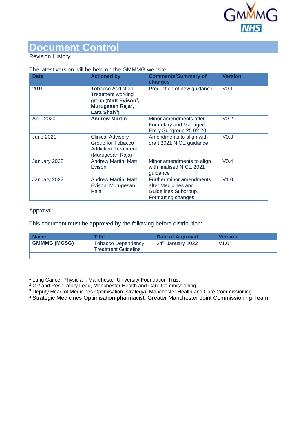

# **Document Control**

#### Revision History:

#### The latest version will be held on the GMMMG website.

| <b>Date</b>      | <b>Actioned by</b>                                                                                                                    | <b>Comments/Summary of</b><br>changes                                                         | <b>Version</b>   |
|------------------|---------------------------------------------------------------------------------------------------------------------------------------|-----------------------------------------------------------------------------------------------|------------------|
| 2019             | <b>Tobacco Addiction</b><br>Treatment working<br>group (Matt Evison <sup>1</sup> ,<br>Murugesan Raja <sup>2</sup> ,<br>Lara Shah $3)$ | Production of new guidance                                                                    | V <sub>0.1</sub> |
| April 2020       | <b>Andrew Martin<sup>4</sup></b>                                                                                                      | Minor amendments after<br>Formulary and Managed<br>Entry Subgroup 25.02.20                    | V <sub>0.2</sub> |
| <b>June 2021</b> | <b>Clinical Advisory</b><br>Group for Tobacco<br><b>Addiction Treatment</b><br>(Murugesan Raja)                                       | Amendments to align with<br>draft 2021 NICE guidance                                          | V <sub>0.3</sub> |
| January 2022     | <b>Andrew Martin, Matt</b><br>Evison                                                                                                  | Minor amendments to align<br>with finalised NICE 2021<br>guidance                             | V <sub>0.4</sub> |
| January 2022     | Andrew Martin, Matt<br>Evison, Murugesan<br>Raja                                                                                      | Further minor amendments<br>after Medicines and<br>Guidelines Subgroup.<br>Formatting changes | V1.0             |

#### Approval:

This document must be approved by the following before distribution:

| <b>Name</b>         | <b>Title</b>                                     | Date of Approval  | <b>Version</b> |
|---------------------|--------------------------------------------------|-------------------|----------------|
| <b>GMMMG (MGSG)</b> | <b>Tobacco Dependency</b><br>Treatment Guideline | 24th January 2022 | V1.0           |
|                     |                                                  |                   |                |

**<sup>1</sup>** Lung Cancer Physician, Manchester University Foundation Trust

**<sup>2</sup>** GP and Respiratory Lead, Manchester Health and Care Commissioning

**<sup>3</sup>** Deputy Head of Medicines Optimisation (strategy), Manchester Health and Care Commissioning

**<sup>4</sup>** Strategic Medicines Optimisation pharmacist, Greater Manchester Joint Commissioning Team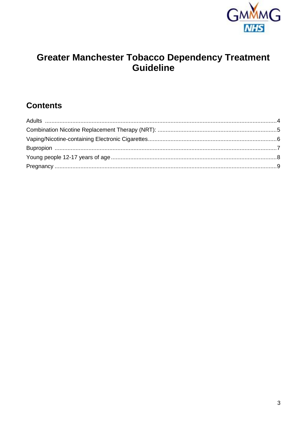

# Greater Manchester Tobacco Dependency Treatment<br>Guideline

# **Contents**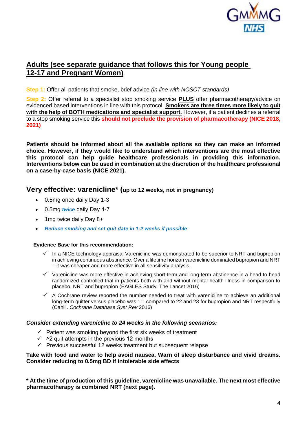

# <span id="page-3-0"></span>**Adults (see separate guidance that follows this for Young people 12-17 and Pregnant Women)**

**Step 1:** Offer all patients that smoke, brief advice *(in line with NCSCT standards)*

**Step 2:** Offer referral to a specialist stop smoking service **PLUS** offer pharmacotherapy/advice on evidenced based interventions in line with this protocol. **Smokers are three times more likely to quit with the help of BOTH medications and specialist support.** However, if a patient declines a referral to a stop smoking service this **should not preclude the provision of pharmacotherapy (NICE 2018, 2021)**

**Patients should be informed about all the available options so they can make an informed choice. However, if they would like to understand which interventions are the most effective this protocol can help guide healthcare professionals in providing this information. Interventions below can be used in combination at the discretion of the healthcare professional on a case-by-case basis (NICE 2021).** 

## **Very effective: varenicline\* (up to 12 weeks, not in pregnancy)**

- 0.5mg once daily Day 1-3
- 0.5mg *twice* daily Day 4-7
- 1mg twice daily Day 8+
- *Reduce smoking and set quit date in 1-2 weeks if possible*

#### **Evidence Base for this recommendation:**

- In a NICE technology appraisal Varenicline was demonstrated to be superior to NRT and bupropion in achieving continuous abstinence. Over a lifetime horizon varenicline dominated bupropion and NRT – it was cheaper and more effective in all sensitivity analysis.
- $\checkmark$  Varenicline was more effective in achieving short-term and long-term abstinence in a head to head randomized controlled trial in patients both with and without mental health illness in comparison to placebo, NRT and bupropion (EAGLES Study, The Lancet 2016)
- $\checkmark$  A Cochrane review reported the number needed to treat with varenicline to achieve an additional long-term quitter versus placebo was 11, compared to 22 and 23 for bupropion and NRT respectfully (Cahill. *Cochrane Database Syst Rev* 2016)

#### *Consider extending varenicline to 24 weeks in the following scenarios:*

- $\checkmark$  Patient was smoking beyond the first six weeks of treatment
- $\checkmark$   $\geq$  2 quit attempts in the previous 12 months
- $\checkmark$  Previous successful 12 weeks treatment but subsequent relapse

#### **Take with food and water to help avoid nausea. Warn of sleep disturbance and vivid dreams. Consider reducing to 0.5mg BD if intolerable side effects**

**\* At the time of production of this guideline, varenicline was unavailable. The next most effective pharmacotherapy is combined NRT (next page).**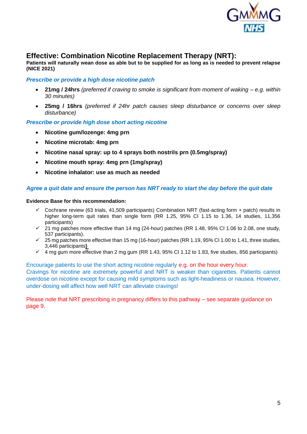

## <span id="page-4-0"></span>**Effective: Combination Nicotine Replacement Therapy (NRT):**

**Patients will naturally wean dose as able but to be supplied for as long as is needed to prevent relapse (NICE 2021)**

#### *Prescribe or provide a high dose nicotine patch*

- **21mg / 24hrs** *(preferred if craving to smoke is significant from moment of waking – e.g. within 30 minutes)*
- **25mg / 16hrs** *(preferred if 24hr patch causes sleep disturbance or concerns over sleep disturbance)*

*Prescribe or provide high dose short acting nicotine*

- **Nicotine gum/lozenge: 4mg prn**
- **Nicotine microtab: 4mg prn**
- **Nicotine nasal spray: up to 4 sprays both nostrils prn (0.5mg/spray)**
- **Nicotine mouth spray: 4mg prn (1mg/spray)**
- **Nicotine inhalator: use as much as needed**

#### *Agree a quit date and ensure the person has NRT ready to start the day before the quit date*

#### **Evidence Base for this recommendation:**

- $\checkmark$  Cochrane review (63 trials, 41,509 participants) Combination NRT (fast-acting form + patch) results in higher long-term quit rates than single form (RR 1.25, 95% CI 1.15 to 1.36, 14 studies, 11,356 participants)
- 21 mg patches more effective than 14 mg (24‐hour) patches (RR 1.48, 95% CI 1.06 to 2.08, one study, 537 participants).
- $\checkmark$  25 mg patches more effective than 15 mg (16-hour) patches (RR 1.19, 95% CI 1.00 to 1.41, three studies, 3,446 participants**)**
- $\checkmark$  4 mg gum more effective than 2 mg gum (RR 1.43, 95% CI 1.12 to 1.83, five studies, 856 participants)

Encourage patients to use the short acting nicotine regularly e.g. on the hour every hour. Cravings for nicotine are extremely powerful and NRT is weaker than cigarettes. Patients cannot overdose on nicotine except for causing mild symptoms such as light-headiness or nausea. However, under-dosing will affect how well NRT can alleviate cravings!

Please note that NRT prescribing in pregnancy differs to this pathway – see separate guidance on page 9.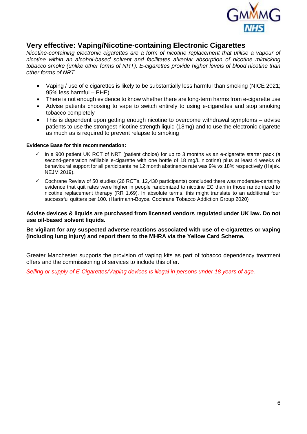

# <span id="page-5-0"></span>**Very effective: Vaping/Nicotine-containing Electronic Cigarettes**

*Nicotine-containing electronic cigarettes are a form of nicotine replacement that utilise a vapour of nicotine within an alcohol-based solvent and facilitates alveolar absorption of nicotine mimicking tobacco smoke (unlike other forms of NRT). E-cigarettes provide higher levels of blood nicotine than other forms of NRT.*

- Vaping / use of e cigarettes is likely to be substantially less harmful than smoking (NICE 2021; 95% less harmful – PHE)
- There is not enough evidence to know whether there are long-term harms from e-cigarette use
- Advise patients choosing to vape to switch entirely to using e-cigarettes and stop smoking tobacco completely
- This is dependent upon getting enough nicotine to overcome withdrawal symptoms advise patients to use the strongest nicotine strength liquid (18mg) and to use the electronic cigarette as much as is required to prevent relapse to smoking

#### **Evidence Base for this recommendation:**

- $\checkmark$  In a 900 patient UK RCT of NRT (patient choice) for up to 3 months vs an e-cigarette starter pack (a second-generation refillable e-cigarette with one bottle of 18 mg/L nicotine) plus at least 4 weeks of behavioural support for all participants he 12 month abstinence rate was 9% vs 18% respectively (Hajek. NEJM 2019).
- Cochrane Review of 50 studies (26 RCTs, 12,430 participants) concluded there was moderate‐certainty evidence that quit rates were higher in people randomized to nicotine EC than in those randomized to nicotine replacement therapy (RR 1.69). In absolute terms, this might translate to an additional four successful quitters per 100. (Hartmann-Boyce. Cochrane Tobacco Addiction Group 2020)

#### **Advise devices & liquids are purchased from licensed vendors regulated under UK law. Do not use oil-based solvent liquids.**

#### **Be vigilant for any suspected adverse reactions associated with use of e-cigarettes or vaping (including lung injury) and report them to the MHRA via the Yellow Card Scheme.**

Greater Manchester supports the provision of vaping kits as part of tobacco dependency treatment offers and the commissioning of services to include this offer.

*Selling or supply of E-Cigarettes/Vaping devices is illegal in persons under 18 years of age.*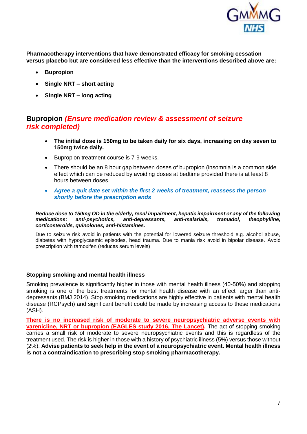

**Pharmacotherapy interventions that have demonstrated efficacy for smoking cessation versus placebo but are considered less effective than the interventions described above are:**

- **Bupropion**
- **Single NRT – short acting**
- **Single NRT – long acting**

# <span id="page-6-0"></span>**Bupropion** *(Ensure medication review & assessment of seizure risk completed)*

- **The initial dose is 150mg to be taken daily for six days, increasing on day seven to 150mg twice daily.**
- **Bupropion treatment course is 7-9 weeks.**
- There should be an 8 hour gap between doses of bupropion (insomnia is a common side effect which can be reduced by avoiding doses at bedtime provided there is at least 8 hours between doses.
- *Agree a quit date set within the first 2 weeks of treatment, reassess the person shortly before the prescription ends*

*Reduce dose to 150mg OD in the elderly, renal impairment, hepatic impairment or any of the following medications: anti-psychotics, anti-depressants, anti-malarials, tramadol, theophylline, corticosteroids, quinolones, anti-histamines.* 

Due to seizure risk avoid in patients with the potential for lowered seizure threshold e.g. alcohol abuse, diabetes with hypoglycaemic episodes, head trauma. Due to mania risk avoid in bipolar disease. Avoid prescription with tamoxifen (reduces serum levels)

#### **Stopping smoking and mental health illness**

Smoking prevalence is significantly higher in those with mental health illness (40-50%) and stopping smoking is one of the best treatments for mental health disease with an effect larger than antidepressants (BMJ 2014). Stop smoking medications are highly effective in patients with mental health disease (RCPsych) and significant benefit could be made by increasing access to these medications (ASH).

**There is no increased risk of moderate to severe neuropsychiatric adverse events with varenicline, NRT or bupropion (EAGLES study 2016, The Lancet).** The act of stopping smoking carries a small risk of moderate to severe neuropsychiatric events and this is regardless of the treatment used. The risk is higher in those with a history of psychiatric illness (5%) versus those without (2%). **Advise patients to seek help in the event of a neuropsychiatric event. Mental health illness is not a contraindication to prescribing stop smoking pharmacotherapy.**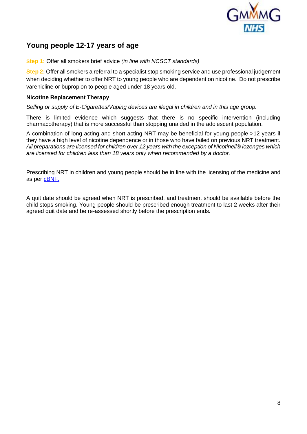

# <span id="page-7-0"></span>**Young people 12-17 years of age**

**Step 1:** Offer all smokers brief advice *(in line with NCSCT standards)*

**Step 2:** Offer all smokers a referral to a specialist stop smoking service and use professional judgement when deciding whether to offer NRT to young people who are dependent on nicotine. Do not prescribe varenicline or bupropion to people aged under 18 years old.

#### **Nicotine Replacement Therapy**

*Selling or supply of E-Cigarettes/Vaping devices are illegal in children and in this age group.*

There is limited evidence which suggests that there is no specific intervention (including pharmacotherapy) that is more successful than stopping unaided in the adolescent population.

A combination of long-acting and short-acting NRT may be beneficial for young people >12 years if they have a high level of nicotine dependence or in those who have failed on previous NRT treatment. *All preparations are licensed for children over 12 years with the exception of Nicotinell® lozenges which are licensed for children less than 18 years only when recommended by a doctor.*

Prescribing NRT in children and young people should be in line with the licensing of the medicine and as per [cBNF.](https://bnfc.nice.org.uk/drug/nicotine.html#indicationsAndDoses)

A quit date should be agreed when NRT is prescribed, and treatment should be available before the child stops smoking. Young people should be prescribed enough treatment to last 2 weeks after their agreed quit date and be re-assessed shortly before the prescription ends.